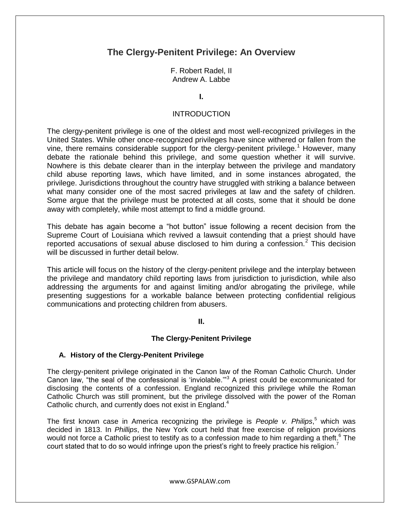# **The Clergy-Penitent Privilege: An Overview**

F. Robert Radel, II Andrew A. Labbe

**I.**

#### INTRODUCTION

The clergy-penitent privilege is one of the oldest and most well-recognized privileges in the United States. While other once-recognized privileges have since withered or fallen from the vine, there remains considerable support for the clergy-penitent privilege.<sup>1</sup> However, many debate the rationale behind this privilege, and some question whether it will survive. Nowhere is this debate clearer than in the interplay between the privilege and mandatory child abuse reporting laws, which have limited, and in some instances abrogated, the privilege. Jurisdictions throughout the country have struggled with striking a balance between what many consider one of the most sacred privileges at law and the safety of children. Some argue that the privilege must be protected at all costs, some that it should be done away with completely, while most attempt to find a middle ground.

This debate has again become a "hot button" issue following a recent decision from the Supreme Court of Louisiana which revived a lawsuit contending that a priest should have reported accusations of sexual abuse disclosed to him during a confession.<sup>2</sup> This decision will be discussed in further detail below.

This article will focus on the history of the clergy-penitent privilege and the interplay between the privilege and mandatory child reporting laws from jurisdiction to jurisdiction, while also addressing the arguments for and against limiting and/or abrogating the privilege, while presenting suggestions for a workable balance between protecting confidential religious communications and protecting children from abusers.

#### **II.**

#### **The Clergy-Penitent Privilege**

#### **A. History of the Clergy-Penitent Privilege**

The clergy-penitent privilege originated in the Canon law of the Roman Catholic Church. Under Canon law, "the seal of the confessional is 'inviolable.'"<sup>3</sup> A priest could be excommunicated for disclosing the contents of a confession. England recognized this privilege while the Roman Catholic Church was still prominent, but the privilege dissolved with the power of the Roman Catholic church, and currently does not exist in England.<sup>4</sup>

The first known case in America recognizing the privilege is *People v. Philips*, <sup>5</sup> which was decided in 1813. In *Phillips*, the New York court held that free exercise of religion provisions would not force a Catholic priest to testify as to a confession made to him regarding a theft.<sup>6</sup> The court stated that to do so would infringe upon the priest's right to freely practice his religion.<sup>7</sup>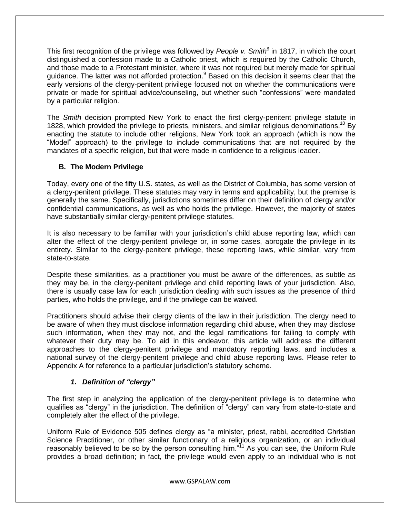This first recognition of the privilege was followed by *People v. Smith<sup>8</sup>* in 1817, in which the court distinguished a confession made to a Catholic priest, which is required by the Catholic Church, and those made to a Protestant minister, where it was not required but merely made for spiritual guidance. The latter was not afforded protection.<sup>9</sup> Based on this decision it seems clear that the early versions of the clergy-penitent privilege focused not on whether the communications were private or made for spiritual advice/counseling, but whether such "confessions" were mandated by a particular religion.

The *Smith* decision prompted New York to enact the first clergy-penitent privilege statute in 1828, which provided the privilege to priests, ministers, and similar religious denominations.<sup>10</sup> By enacting the statute to include other religions, New York took an approach (which is now the "Model" approach) to the privilege to include communications that are not required by the mandates of a specific religion, but that were made in confidence to a religious leader.

## **B. The Modern Privilege**

Today, every one of the fifty U.S. states, as well as the District of Columbia, has some version of a clergy-penitent privilege. These statutes may vary in terms and applicability, but the premise is generally the same. Specifically, jurisdictions sometimes differ on their definition of clergy and/or confidential communications, as well as who holds the privilege. However, the majority of states have substantially similar clergy-penitent privilege statutes.

It is also necessary to be familiar with your jurisdiction's child abuse reporting law, which can alter the effect of the clergy-penitent privilege or, in some cases, abrogate the privilege in its entirety. Similar to the clergy-penitent privilege, these reporting laws, while similar, vary from state-to-state.

Despite these similarities, as a practitioner you must be aware of the differences, as subtle as they may be, in the clergy-penitent privilege and child reporting laws of your jurisdiction. Also, there is usually case law for each jurisdiction dealing with such issues as the presence of third parties, who holds the privilege, and if the privilege can be waived.

Practitioners should advise their clergy clients of the law in their jurisdiction. The clergy need to be aware of when they must disclose information regarding child abuse, when they may disclose such information, when they may not, and the legal ramifications for failing to comply with whatever their duty may be. To aid in this endeavor, this article will address the different approaches to the clergy-penitent privilege and mandatory reporting laws, and includes a national survey of the clergy-penitent privilege and child abuse reporting laws. Please refer to Appendix A for reference to a particular jurisdiction's statutory scheme.

# *1. Definition of "clergy"*

The first step in analyzing the application of the clergy-penitent privilege is to determine who qualifies as "clergy" in the jurisdiction. The definition of "clergy" can vary from state-to-state and completely alter the effect of the privilege.

Uniform Rule of Evidence 505 defines clergy as "a minister, priest, rabbi, accredited Christian Science Practitioner, or other similar functionary of a religious organization, or an individual reasonably believed to be so by the person consulting him. $n^{1/1}$  As you can see, the Uniform Rule provides a broad definition; in fact, the privilege would even apply to an individual who is not

www.GSPALAW.com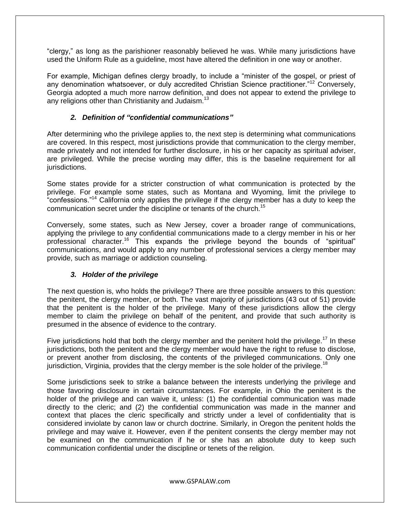"clergy," as long as the parishioner reasonably believed he was. While many jurisdictions have used the Uniform Rule as a guideline, most have altered the definition in one way or another.

For example, Michigan defines clergy broadly, to include a "minister of the gospel, or priest of any denomination whatsoever, or duly accredited Christian Science practitioner."<sup>12</sup> Conversely, Georgia adopted a much more narrow definition, and does not appear to extend the privilege to any religions other than Christianity and Judaism.<sup>13</sup>

## *2. Definition of "confidential communications"*

After determining who the privilege applies to, the next step is determining what communications are covered. In this respect, most jurisdictions provide that communication to the clergy member, made privately and not intended for further disclosure, in his or her capacity as spiritual adviser, are privileged. While the precise wording may differ, this is the baseline requirement for all jurisdictions.

Some states provide for a stricter construction of what communication is protected by the privilege. For example some states, such as Montana and Wyoming, limit the privilege to "confessions."<sup>14</sup> California only applies the privilege if the clergy member has a duty to keep the communication secret under the discipline or tenants of the church.<sup>15</sup>

Conversely, some states, such as New Jersey, cover a broader range of communications, applying the privilege to any confidential communications made to a clergy member in his or her professional character.<sup>16</sup> This expands the privilege beyond the bounds of "spiritual" communications, and would apply to any number of professional services a clergy member may provide, such as marriage or addiction counseling.

## *3. Holder of the privilege*

The next question is, who holds the privilege? There are three possible answers to this question: the penitent, the clergy member, or both. The vast majority of jurisdictions (43 out of 51) provide that the penitent is the holder of the privilege. Many of these jurisdictions allow the clergy member to claim the privilege on behalf of the penitent, and provide that such authority is presumed in the absence of evidence to the contrary.

Five jurisdictions hold that both the clergy member and the penitent hold the privilege.<sup>17</sup> In these jurisdictions, both the penitent and the clergy member would have the right to refuse to disclose, or prevent another from disclosing, the contents of the privileged communications. Only one jurisdiction, Virginia, provides that the clergy member is the sole holder of the privilege.<sup>18</sup>

Some jurisdictions seek to strike a balance between the interests underlying the privilege and those favoring disclosure in certain circumstances. For example, in Ohio the penitent is the holder of the privilege and can waive it, unless: (1) the confidential communication was made directly to the cleric; and (2) the confidential communication was made in the manner and context that places the cleric specifically and strictly under a level of confidentiality that is considered inviolate by canon law or church doctrine. Similarly, in Oregon the penitent holds the privilege and may waive it. However, even if the penitent consents the clergy member may not be examined on the communication if he or she has an absolute duty to keep such communication confidential under the discipline or tenets of the religion.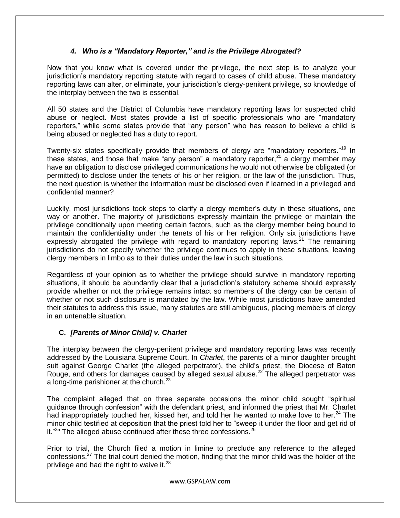## *4. Who is a "Mandatory Reporter," and is the Privilege Abrogated?*

Now that you know what is covered under the privilege, the next step is to analyze your jurisdiction's mandatory reporting statute with regard to cases of child abuse. These mandatory reporting laws can alter, or eliminate, your jurisdiction's clergy-penitent privilege, so knowledge of the interplay between the two is essential.

All 50 states and the District of Columbia have mandatory reporting laws for suspected child abuse or neglect. Most states provide a list of specific professionals who are "mandatory reporters," while some states provide that "any person" who has reason to believe a child is being abused or neglected has a duty to report.

Twenty-six states specifically provide that members of clergy are "mandatory reporters."<sup>19</sup> In these states, and those that make "any person" a mandatory reporter,<sup>20</sup> a clergy member may have an obligation to disclose privileged communications he would not otherwise be obligated (or permitted) to disclose under the tenets of his or her religion, or the law of the jurisdiction. Thus, the next question is whether the information must be disclosed even if learned in a privileged and confidential manner?

Luckily, most jurisdictions took steps to clarify a clergy member's duty in these situations, one way or another. The majority of jurisdictions expressly maintain the privilege or maintain the privilege conditionally upon meeting certain factors, such as the clergy member being bound to maintain the confidentiality under the tenets of his or her religion. Only six jurisdictions have expressly abrogated the privilege with regard to mandatory reporting laws.<sup>21</sup> The remaining jurisdictions do not specify whether the privilege continues to apply in these situations, leaving clergy members in limbo as to their duties under the law in such situations.

Regardless of your opinion as to whether the privilege should survive in mandatory reporting situations, it should be abundantly clear that a jurisdiction's statutory scheme should expressly provide whether or not the privilege remains intact so members of the clergy can be certain of whether or not such disclosure is mandated by the law. While most jurisdictions have amended their statutes to address this issue, many statutes are still ambiguous, placing members of clergy in an untenable situation.

# **C.** *[Parents of Minor Child] v. Charlet*

The interplay between the clergy-penitent privilege and mandatory reporting laws was recently addressed by the Louisiana Supreme Court. In *Charlet*, the parents of a minor daughter brought suit against George Charlet (the alleged perpetrator), the child's priest, the Diocese of Baton Rouge, and others for damages caused by alleged sexual abuse.<sup>22</sup> The alleged perpetrator was a long-time parishioner at the church. $^{23}$ 

The complaint alleged that on three separate occasions the minor child sought "spiritual guidance through confession" with the defendant priest, and informed the priest that Mr. Charlet had inappropriately touched her, kissed her, and told her he wanted to make love to her.<sup>24</sup> The minor child testified at deposition that the priest told her to "sweep it under the floor and get rid of it."<sup>25</sup> The alleged abuse continued after these three confessions.<sup>26</sup>

Prior to trial, the Church filed a motion in limine to preclude any reference to the alleged confessions.<sup>27</sup> The trial court denied the motion, finding that the minor child was the holder of the privilege and had the right to waive it.<sup>28</sup>

www.GSPALAW.com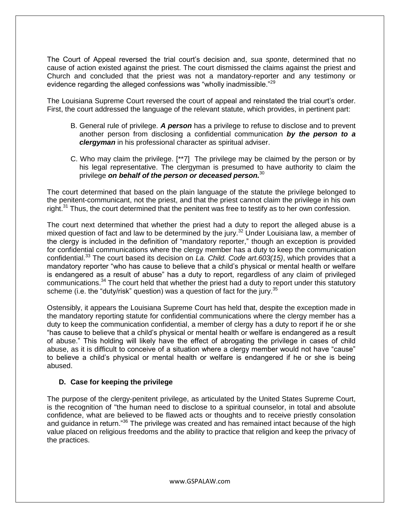The Court of Appeal reversed the trial court's decision and, *sua sponte*, determined that no cause of action existed against the priest. The court dismissed the claims against the priest and Church and concluded that the priest was not a mandatory-reporter and any testimony or evidence regarding the alleged confessions was "wholly inadmissible."<sup>29</sup>

The Louisiana Supreme Court reversed the court of appeal and reinstated the trial court's order. First, the court addressed the language of the relevant statute, which provides, in pertinent part:

- B. General rule of privilege. *A person* has a privilege to refuse to disclose and to prevent another person from disclosing a confidential communication *by the person to a clergyman* in his professional character as spiritual adviser.
- C. Who may claim the privilege. [\*\*7] The privilege may be claimed by the person or by his legal representative. The clergyman is presumed to have authority to claim the privilege *on behalf of the person or deceased person.*<sup>30</sup>

The court determined that based on the plain language of the statute the privilege belonged to the penitent-communicant, not the priest, and that the priest cannot claim the privilege in his own right. $31$  Thus, the court determined that the penitent was free to testify as to her own confession.

The court next determined that whether the priest had a duty to report the alleged abuse is a mixed question of fact and law to be determined by the jury.<sup>32</sup> Under Louisiana law, a member of the clergy is included in the definition of "mandatory reporter," though an exception is provided for confidential communications where the clergy member has a duty to keep the communication confidential.<sup>33</sup> The court based its decision on *La. Child. Code art.603(15)*, which provides that a mandatory reporter "who has cause to believe that a child's physical or mental health or welfare is endangered as a result of abuse" has a duty to report, regardless of any claim of privileged communications.<sup>34</sup> The court held that whether the priest had a duty to report under this statutory scheme (i.e. the "duty/risk" question) was a question of fact for the jury.  $35$ 

Ostensibly, it appears the Louisiana Supreme Court has held that, despite the exception made in the mandatory reporting statute for confidential communications where the clergy member has a duty to keep the communication confidential, a member of clergy has a duty to report if he or she "has cause to believe that a child's physical or mental health or welfare is endangered as a result of abuse." This holding will likely have the effect of abrogating the privilege in cases of child abuse, as it is difficult to conceive of a situation where a clergy member would not have "cause" to believe a child's physical or mental health or welfare is endangered if he or she is being abused.

## **D. Case for keeping the privilege**

The purpose of the clergy-penitent privilege, as articulated by the United States Supreme Court, is the recognition of "the human need to disclose to a spiritual counselor, in total and absolute confidence, what are believed to be flawed acts or thoughts and to receive priestly consolation and guidance in return.<sup>"36</sup> The privilege was created and has remained intact because of the high value placed on religious freedoms and the ability to practice that religion and keep the privacy of the practices.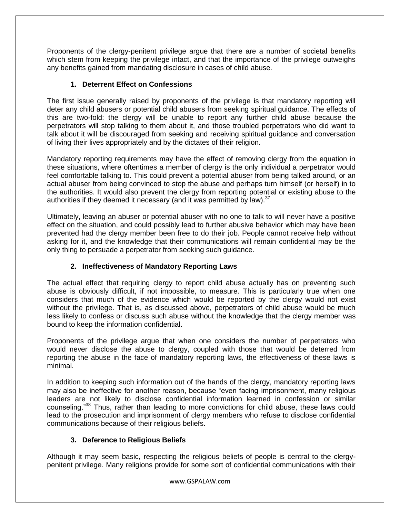Proponents of the clergy-penitent privilege argue that there are a number of societal benefits which stem from keeping the privilege intact, and that the importance of the privilege outweighs any benefits gained from mandating disclosure in cases of child abuse.

## **1. Deterrent Effect on Confessions**

The first issue generally raised by proponents of the privilege is that mandatory reporting will deter any child abusers or potential child abusers from seeking spiritual guidance. The effects of this are two-fold: the clergy will be unable to report any further child abuse because the perpetrators will stop talking to them about it, and those troubled perpetrators who did want to talk about it will be discouraged from seeking and receiving spiritual guidance and conversation of living their lives appropriately and by the dictates of their religion.

Mandatory reporting requirements may have the effect of removing clergy from the equation in these situations, where oftentimes a member of clergy is the only individual a perpetrator would feel comfortable talking to. This could prevent a potential abuser from being talked around, or an actual abuser from being convinced to stop the abuse and perhaps turn himself (or herself) in to the authorities. It would also prevent the clergy from reporting potential or existing abuse to the authorities if they deemed it necessary (and it was permitted by law).<sup>37</sup>

Ultimately, leaving an abuser or potential abuser with no one to talk to will never have a positive effect on the situation, and could possibly lead to further abusive behavior which may have been prevented had the clergy member been free to do their job. People cannot receive help without asking for it, and the knowledge that their communications will remain confidential may be the only thing to persuade a perpetrator from seeking such guidance.

# **2. Ineffectiveness of Mandatory Reporting Laws**

The actual effect that requiring clergy to report child abuse actually has on preventing such abuse is obviously difficult, if not impossible, to measure. This is particularly true when one considers that much of the evidence which would be reported by the clergy would not exist without the privilege. That is, as discussed above, perpetrators of child abuse would be much less likely to confess or discuss such abuse without the knowledge that the clergy member was bound to keep the information confidential.

Proponents of the privilege argue that when one considers the number of perpetrators who would never disclose the abuse to clergy, coupled with those that would be deterred from reporting the abuse in the face of mandatory reporting laws, the effectiveness of these laws is minimal.

In addition to keeping such information out of the hands of the clergy, mandatory reporting laws may also be ineffective for another reason, because "even facing imprisonment, many religious leaders are not likely to disclose confidential information learned in confession or similar counseling."<sup>38</sup> Thus, rather than leading to more convictions for child abuse, these laws could lead to the prosecution and imprisonment of clergy members who refuse to disclose confidential communications because of their religious beliefs.

# **3. Deference to Religious Beliefs**

Although it may seem basic, respecting the religious beliefs of people is central to the clergypenitent privilege. Many religions provide for some sort of confidential communications with their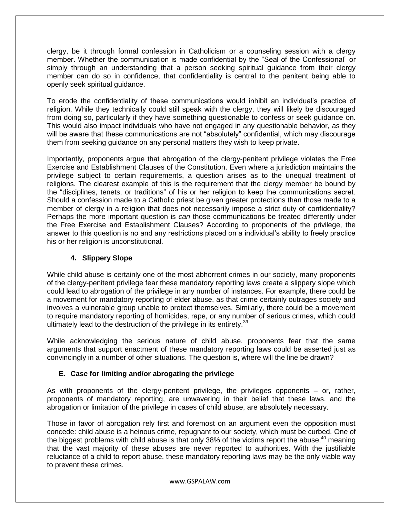clergy, be it through formal confession in Catholicism or a counseling session with a clergy member. Whether the communication is made confidential by the "Seal of the Confessional" or simply through an understanding that a person seeking spiritual guidance from their clergy member can do so in confidence, that confidentiality is central to the penitent being able to openly seek spiritual guidance.

To erode the confidentiality of these communications would inhibit an individual's practice of religion. While they technically could still speak with the clergy, they will likely be discouraged from doing so, particularly if they have something questionable to confess or seek guidance on. This would also impact individuals who have not engaged in any questionable behavior, as they will be aware that these communications are not "absolutely" confidential, which may discourage them from seeking guidance on any personal matters they wish to keep private.

Importantly, proponents argue that abrogation of the clergy-penitent privilege violates the Free Exercise and Establishment Clauses of the Constitution. Even where a jurisdiction maintains the privilege subject to certain requirements, a question arises as to the unequal treatment of religions. The clearest example of this is the requirement that the clergy member be bound by the "disciplines, tenets, or traditions" of his or her religion to keep the communications secret. Should a confession made to a Catholic priest be given greater protections than those made to a member of clergy in a religion that does not necessarily impose a strict duty of confidentiality? Perhaps the more important question is *can* those communications be treated differently under the Free Exercise and Establishment Clauses? According to proponents of the privilege, the answer to this question is no and any restrictions placed on a individual's ability to freely practice his or her religion is unconstitutional.

## **4. Slippery Slope**

While child abuse is certainly one of the most abhorrent crimes in our society, many proponents of the clergy-penitent privilege fear these mandatory reporting laws create a slippery slope which could lead to abrogation of the privilege in any number of instances. For example, there could be a movement for mandatory reporting of elder abuse, as that crime certainly outrages society and involves a vulnerable group unable to protect themselves. Similarly, there could be a movement to require mandatory reporting of homicides, rape, or any number of serious crimes, which could ultimately lead to the destruction of the privilege in its entirety.<sup>39</sup>

While acknowledging the serious nature of child abuse, proponents fear that the same arguments that support enactment of these mandatory reporting laws could be asserted just as convincingly in a number of other situations. The question is, where will the line be drawn?

## **E. Case for limiting and/or abrogating the privilege**

As with proponents of the clergy-penitent privilege, the privileges opponents – or, rather, proponents of mandatory reporting, are unwavering in their belief that these laws, and the abrogation or limitation of the privilege in cases of child abuse, are absolutely necessary.

Those in favor of abrogation rely first and foremost on an argument even the opposition must concede: child abuse is a heinous crime, repugnant to our society, which must be curbed. One of the biggest problems with child abuse is that only 38% of the victims report the abuse,  $40$  meaning that the vast majority of these abuses are never reported to authorities. With the justifiable reluctance of a child to report abuse, these mandatory reporting laws may be the only viable way to prevent these crimes.

www.GSPALAW.com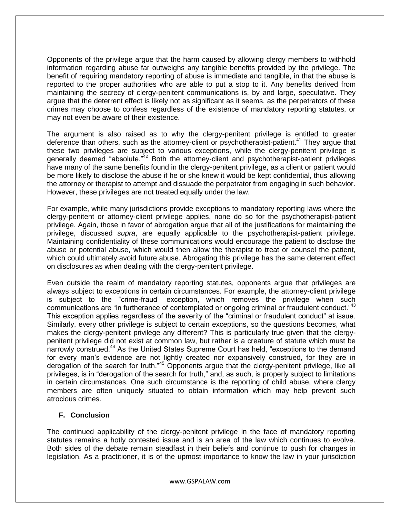Opponents of the privilege argue that the harm caused by allowing clergy members to withhold information regarding abuse far outweighs any tangible benefits provided by the privilege. The benefit of requiring mandatory reporting of abuse is immediate and tangible, in that the abuse is reported to the proper authorities who are able to put a stop to it. Any benefits derived from maintaining the secrecy of clergy-penitent communications is, by and large, speculative. They argue that the deterrent effect is likely not as significant as it seems, as the perpetrators of these crimes may choose to confess regardless of the existence of mandatory reporting statutes, or may not even be aware of their existence.

The argument is also raised as to why the clergy-penitent privilege is entitled to greater deference than others, such as the attorney-client or psychotherapist-patient.<sup>41</sup> They argue that these two privileges are subject to various exceptions, while the clergy-penitent privilege is generally deemed "absolute."<sup>42</sup> Both the attorney-client and psychotherapist-patient privileges have many of the same benefits found in the clergy-penitent privilege, as a client or patient would be more likely to disclose the abuse if he or she knew it would be kept confidential, thus allowing the attorney or therapist to attempt and dissuade the perpetrator from engaging in such behavior. However, these privileges are not treated equally under the law.

For example, while many jurisdictions provide exceptions to mandatory reporting laws where the clergy-penitent or attorney-client privilege applies, none do so for the psychotherapist-patient privilege. Again, those in favor of abrogation argue that all of the justifications for maintaining the privilege, discussed *supra*, are equally applicable to the psychotherapist-patient privilege. Maintaining confidentiality of these communications would encourage the patient to disclose the abuse or potential abuse, which would then allow the therapist to treat or counsel the patient, which could ultimately avoid future abuse. Abrogating this privilege has the same deterrent effect on disclosures as when dealing with the clergy-penitent privilege.

Even outside the realm of mandatory reporting statutes, opponents argue that privileges are always subject to exceptions in certain circumstances. For example, the attorney-client privilege is subject to the "crime-fraud" exception, which removes the privilege when such communications are "in furtherance of contemplated or ongoing criminal or fraudulent conduct."<sup>43</sup> This exception applies regardless of the severity of the "criminal or fraudulent conduct" at issue. Similarly, every other privilege is subject to certain exceptions, so the questions becomes, what makes the clergy-penitent privilege any different? This is particularly true given that the clergypenitent privilege did not exist at common law, but rather is a creature of statute which must be narrowly construed.<sup>44</sup> As the United States Supreme Court has held, "exceptions to the demand for every man's evidence are not lightly created nor expansively construed, for they are in derogation of the search for truth."<sup>45</sup> Opponents argue that the clergy-penitent privilege, like all privileges, is in "derogation of the search for truth," and, as such, is properly subject to limitations in certain circumstances. One such circumstance is the reporting of child abuse, where clergy members are often uniquely situated to obtain information which may help prevent such atrocious crimes.

#### **F. Conclusion**

The continued applicability of the clergy-penitent privilege in the face of mandatory reporting statutes remains a hotly contested issue and is an area of the law which continues to evolve. Both sides of the debate remain steadfast in their beliefs and continue to push for changes in legislation. As a practitioner, it is of the upmost importance to know the law in your jurisdiction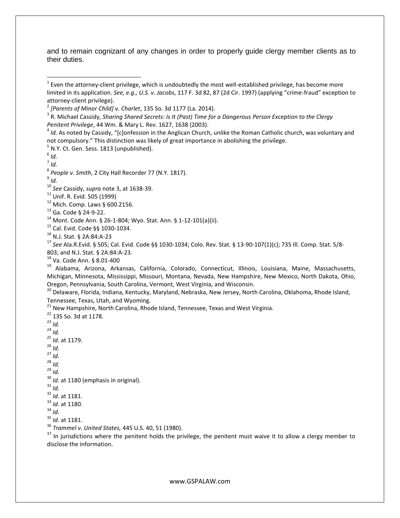and to remain cognizant of any changes in order to properly guide clergy member clients as to their duties.

 $<sup>5</sup>$  N.Y. Ct. Gen. Sess. 1813 (unpublished).</sup>

 $\overline{a}$ 

*Id.*

*Id.*

Cal. Evid. Code §§ 1030-1034.

N.J. Stat. § 2A:84:A-23

 *See* Ala.R.Evid. § 505; Cal. Evid. Code §§ 1030-1034; Colo. Rev. Stat. § 13-90-107(1)(c); 735 Ill. Comp. Stat. 5/8- 803; and N.J. Stat. § 2A:84:A-23*.*

Va. Code Ann. § 8.01-400

 Alabama, Arizona, Arkansas, California, Colorado, Connecticut, Illinois, Louisiana, Maine, Massachusetts, Michigan, Minnesota, Mississippi, Missouri, Montana, Nevada, New Hampshire, New Mexico, North Dakota, Ohio, Oregon, Pennsylvania, South Carolina, Vermont, West Virginia, and Wisconsin.

<sup>20</sup> Delaware, Florida, Indiana, Kentucky, Maryland, Nebraska, New Jersey, North Carolina, Oklahoma, Rhode Island, Tennessee, Texas, Utah, and Wyoming.

New Hampshire, North Carolina, Rhode Island, Tennessee, Texas and West Virginia.

 135 So. 3d at 1178. *Id. Id. Id.* at 1179. *Id. Id. Id. Id.* <sup>30</sup> *Id.* at 1180 (emphasis in original). *Id. Id.* at 1181. *Id.* at 1180. *Id. Id.* at 1181.

*Trammel v. United States,* 445 U.S. 40, 51 (1980).

 In jurisdictions where the penitent holds the privilege, the penitent must waive it to allow a clergy member to disclose the information.

 Even the attorney-client privilege, which is undoubtedly the most well-established privilege, has become more limited in its application. *See, e.g., U.S. v. Jacobs*, 117 F. 3d 82, 87 (2d Cir. 1997) (applying "crime-fraud" exception to attorney-client privilege).

*[Parents of Minor Child] v. Charlet*, 135 So. 3d 1177 (La. 2014).

 R. Michael Cassidy, *Sharing Shared Secrets: Is It (Past) Time for a Dangerous Person Exception to the Clergy Penitent Privilege*, 44 Wm. & Mary L. Rev. 1627, 1638 (2003).

<sup>&</sup>lt;sup>4</sup> Id. As noted by Cassidy, "[c]onfession in the Anglican Church, unlike the Roman Catholic church, was voluntary and not compulsory." This distinction was likely of great importance in abolishing the privilege.

*Id.*

*People v. Smith*, 2 City Hall Recorder 77 (N.Y. 1817).

*See* Cassidy, *supra* note 3, at 1638-39.

Unif. R. Evid. 505 (1999)

Mich. Comp. Laws § 600.2156.

Ga. Code § 24-9-22.

Mont. Code Ann. § 26-1-804; Wyo. Stat. Ann. § 1-12-101(a)(ii).